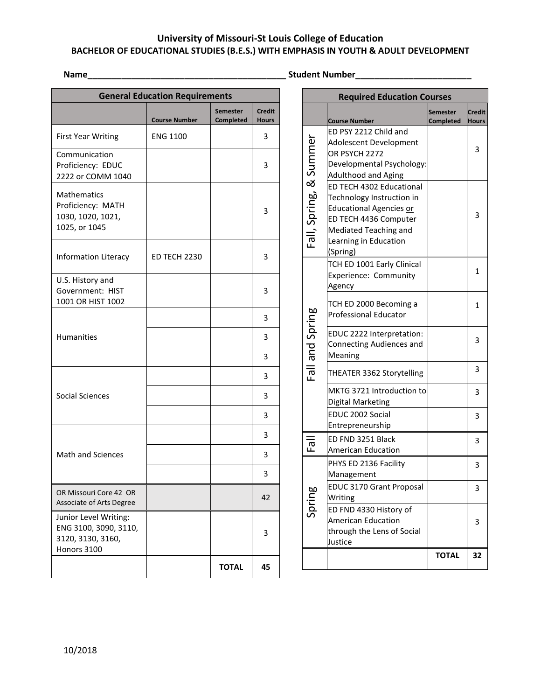## **University of Missouri-St Louis College of Education BACHELOR OF EDUCATIONAL STUDIES (B.E.S.) WITH EMPHASIS IN YOUTH & ADULT DEVELOPMENT**

**Name\_\_\_\_\_\_\_\_\_\_\_\_\_\_\_\_\_\_\_\_\_\_\_\_\_\_\_\_\_\_\_\_\_\_\_\_\_\_\_\_\_ Student Number\_\_\_\_\_\_\_\_\_\_\_\_\_\_\_\_\_\_\_\_\_\_\_\_**

| <b>General Education Requirements</b>                                              |                      |                                     |                               |
|------------------------------------------------------------------------------------|----------------------|-------------------------------------|-------------------------------|
|                                                                                    | <b>Course Number</b> | <b>Semester</b><br><b>Completed</b> | <b>Credit</b><br><b>Hours</b> |
| <b>First Year Writing</b>                                                          | <b>ENG 1100</b>      |                                     | 3                             |
| Communication<br>Proficiency: EDUC<br>2222 or COMM 1040                            |                      |                                     | 3                             |
| <b>Mathematics</b><br>Proficiency: MATH<br>1030, 1020, 1021,<br>1025, or 1045      |                      |                                     | 3                             |
| Information Literacy                                                               | <b>ED TECH 2230</b>  |                                     | 3                             |
| U.S. History and<br>Government: HIST<br>1001 OR HIST 1002                          |                      |                                     | 3                             |
| <b>Humanities</b>                                                                  |                      |                                     | 3                             |
|                                                                                    |                      |                                     | 3                             |
|                                                                                    |                      |                                     | 3                             |
|                                                                                    |                      |                                     | 3                             |
| <b>Social Sciences</b>                                                             |                      |                                     | 3                             |
|                                                                                    |                      |                                     | 3                             |
|                                                                                    |                      |                                     | 3                             |
| <b>Math and Sciences</b>                                                           |                      |                                     | 3                             |
|                                                                                    |                      |                                     | 3                             |
| OR Missouri Core 42 OR<br>Associate of Arts Degree                                 |                      |                                     | 42                            |
| Junior Level Writing:<br>ENG 3100, 3090, 3110,<br>3120, 3130, 3160,<br>Honors 3100 |                      |                                     | 3                             |
|                                                                                    |                      | <b>TOTAL</b>                        | 45                            |

| <b>Required Education Courses</b> |                                                                                                                                                                                |                       |                        |
|-----------------------------------|--------------------------------------------------------------------------------------------------------------------------------------------------------------------------------|-----------------------|------------------------|
|                                   | <b>Course Number</b>                                                                                                                                                           | Semester<br>Completed | <b>Credit</b><br>Hours |
|                                   | ED PSY 2212 Child and<br>Adolescent Development<br>OR PSYCH 2272<br>Developmental Psychology:<br><b>Adulthood and Aging</b>                                                    |                       | 3                      |
| Fall, Spring, & Summer            | ED TECH 4302 Educational<br>Technology Instruction in<br><b>Educational Agencies or</b><br>ED TECH 4436 Computer<br>Mediated Teaching and<br>Learning in Education<br>(Spring) |                       | 3                      |
|                                   | TCH ED 1001 Early Clinical<br>Experience: Community<br>Agency                                                                                                                  |                       | 1                      |
| Fall and Spring                   | TCH ED 2000 Becoming a<br><b>Professional Educator</b>                                                                                                                         |                       | 1                      |
|                                   | EDUC 2222 Interpretation:<br><b>Connecting Audiences and</b><br>Meaning                                                                                                        |                       | 3                      |
|                                   | THEATER 3362 Storytelling                                                                                                                                                      |                       | 3                      |
|                                   | MKTG 3721 Introduction to<br>Digital Marketing                                                                                                                                 |                       | 3                      |
|                                   | EDUC 2002 Social<br>Entrepreneurship                                                                                                                                           |                       | 3                      |
| ΕāΙ                               | ED FND 3251 Black<br><b>American Education</b>                                                                                                                                 |                       | 3                      |
| Spring                            | PHYS ED 2136 Facility<br>Management                                                                                                                                            |                       | 3                      |
|                                   | EDUC 3170 Grant Proposal<br>Writing                                                                                                                                            |                       | 3                      |
|                                   | ED FND 4330 History of<br><b>American Education</b><br>through the Lens of Social<br>Justice                                                                                   |                       | 3                      |
|                                   |                                                                                                                                                                                | <b>TOTAL</b>          | 32                     |